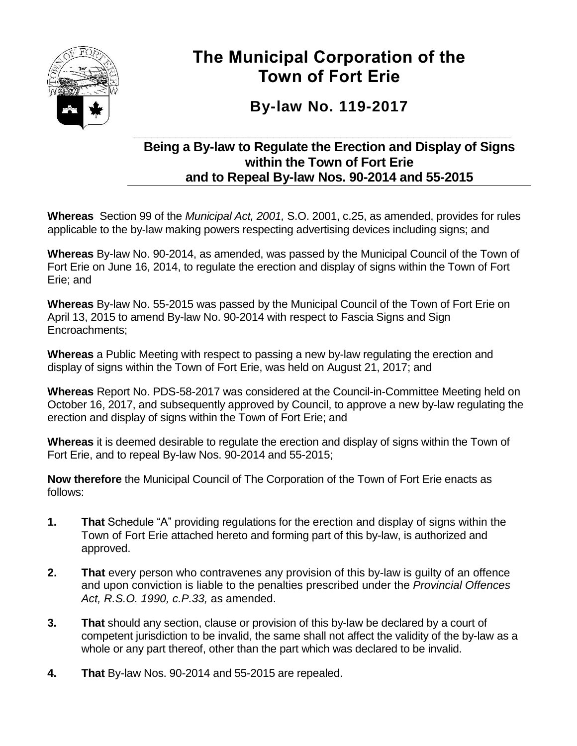

# **The Municipal Corporation of the Town of Fort Erie**

# **By-law No. 119-2017**

# **\_\_\_\_\_\_\_\_\_\_\_\_\_\_\_\_\_\_\_\_\_\_\_\_\_\_\_\_\_\_\_\_\_\_\_\_\_\_\_\_\_\_\_\_\_\_\_\_\_\_\_\_\_\_\_\_\_\_\_\_\_\_ Being a By-law to Regulate the Erection and Display of Signs within the Town of Fort Erie and to Repeal By-law Nos. 90-2014 and 55-2015**

**Whereas** Section 99 of the *Municipal Act, 2001,* S.O. 2001, c.25, as amended, provides for rules applicable to the by-law making powers respecting advertising devices including signs; and

**Whereas** By-law No. 90-2014, as amended, was passed by the Municipal Council of the Town of Fort Erie on June 16, 2014, to regulate the erection and display of signs within the Town of Fort Erie; and

**Whereas** By-law No. 55-2015 was passed by the Municipal Council of the Town of Fort Erie on April 13, 2015 to amend By-law No. 90-2014 with respect to Fascia Signs and Sign Encroachments;

**Whereas** a Public Meeting with respect to passing a new by-law regulating the erection and display of signs within the Town of Fort Erie, was held on August 21, 2017; and

**Whereas** Report No. PDS-58-2017 was considered at the Council-in-Committee Meeting held on October 16, 2017, and subsequently approved by Council, to approve a new by-law regulating the erection and display of signs within the Town of Fort Erie; and

**Whereas** it is deemed desirable to regulate the erection and display of signs within the Town of Fort Erie, and to repeal By-law Nos. 90-2014 and 55-2015;

**Now therefore** the Municipal Council of The Corporation of the Town of Fort Erie enacts as follows:

- **1. That** Schedule "A" providing regulations for the erection and display of signs within the Town of Fort Erie attached hereto and forming part of this by-law, is authorized and approved.
- **2. That** every person who contravenes any provision of this by-law is quilty of an offence and upon conviction is liable to the penalties prescribed under the *Provincial Offences Act, R.S.O. 1990, c.P.33,* as amended.
- **3. That** should any section, clause or provision of this by-law be declared by a court of competent jurisdiction to be invalid, the same shall not affect the validity of the by-law as a whole or any part thereof, other than the part which was declared to be invalid.
- **4. That** By-law Nos. 90-2014 and 55-2015 are repealed.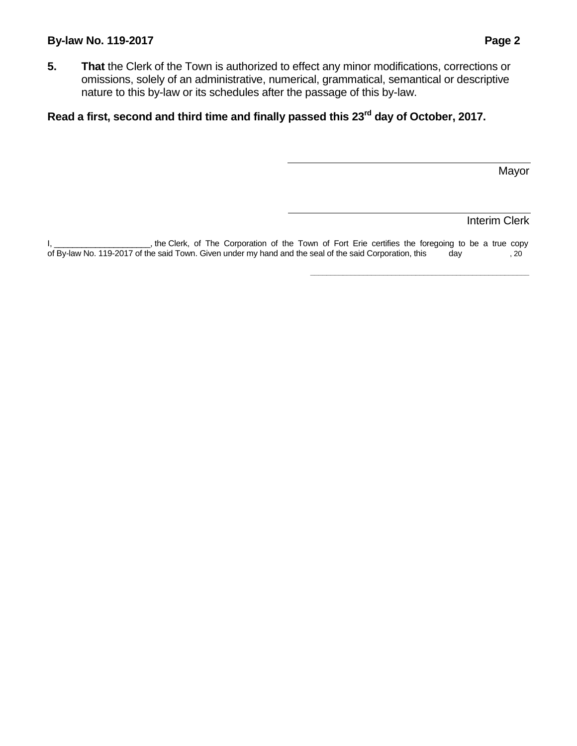#### **By-law No. 119-2017 Page 2**

**5. That** the Clerk of the Town is authorized to effect any minor modifications, corrections or omissions, solely of an administrative, numerical, grammatical, semantical or descriptive nature to this by-law or its schedules after the passage of this by-law.

# **Read a first, second and third time and finally passed this 23rd day of October, 2017.**

Mayor

#### Interim Clerk

**\_\_\_\_\_\_\_\_\_\_\_\_\_\_\_\_\_\_\_\_\_\_\_\_\_\_\_\_\_\_\_\_\_\_\_\_\_\_\_\_\_\_\_\_\_\_\_\_\_\_\_\_\_\_**

I, \_\_\_\_\_\_\_\_\_\_\_\_\_\_\_\_\_\_\_\_, the Clerk, of The Corporation of the Town of Fort Erie certifies the foregoing to be a true copy of By-law No. 119-2017 of the said Town. Given under my hand and the seal of the said Corporation, this day, 20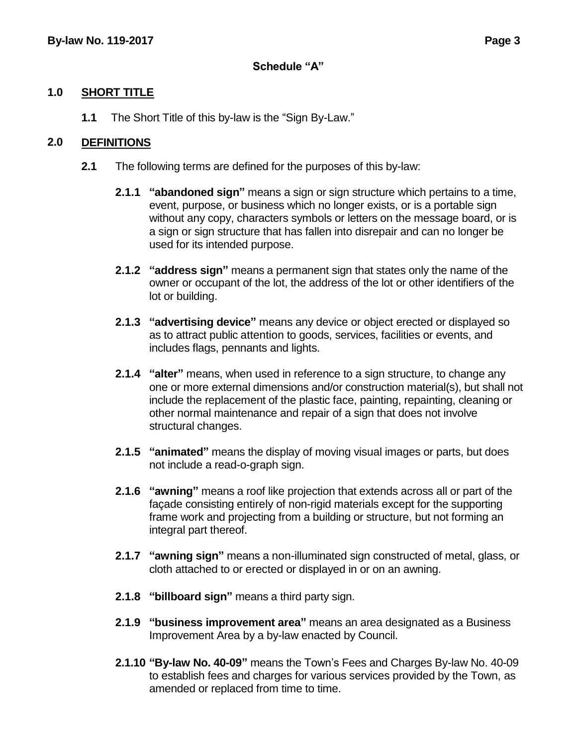### **Schedule "A"**

# **1.0 SHORT TITLE**

**1.1** The Short Title of this by-law is the "Sign By-Law."

# **2.0 DEFINITIONS**

- **2.1** The following terms are defined for the purposes of this by-law:
	- **2.1.1 "abandoned sign"** means a sign or sign structure which pertains to a time, event, purpose, or business which no longer exists, or is a portable sign without any copy, characters symbols or letters on the message board, or is a sign or sign structure that has fallen into disrepair and can no longer be used for its intended purpose.
	- **2.1.2 "address sign"** means a permanent sign that states only the name of the owner or occupant of the lot, the address of the lot or other identifiers of the lot or building.
	- **2.1.3 "advertising device"** means any device or object erected or displayed so as to attract public attention to goods, services, facilities or events, and includes flags, pennants and lights.
	- **2.1.4 "alter"** means, when used in reference to a sign structure, to change any one or more external dimensions and/or construction material(s), but shall not include the replacement of the plastic face, painting, repainting, cleaning or other normal maintenance and repair of a sign that does not involve structural changes.
	- **2.1.5 "animated"** means the display of moving visual images or parts, but does not include a read-o-graph sign.
	- **2.1.6 "awning"** means a roof like projection that extends across all or part of the façade consisting entirely of non-rigid materials except for the supporting frame work and projecting from a building or structure, but not forming an integral part thereof.
	- **2.1.7 "awning sign"** means a non-illuminated sign constructed of metal, glass, or cloth attached to or erected or displayed in or on an awning.
	- **2.1.8 "billboard sign"** means a third party sign.
	- **2.1.9 "business improvement area"** means an area designated as a Business Improvement Area by a by-law enacted by Council.
	- **2.1.10 "By-law No. 40-09"** means the Town's Fees and Charges By-law No. 40-09 to establish fees and charges for various services provided by the Town, as amended or replaced from time to time.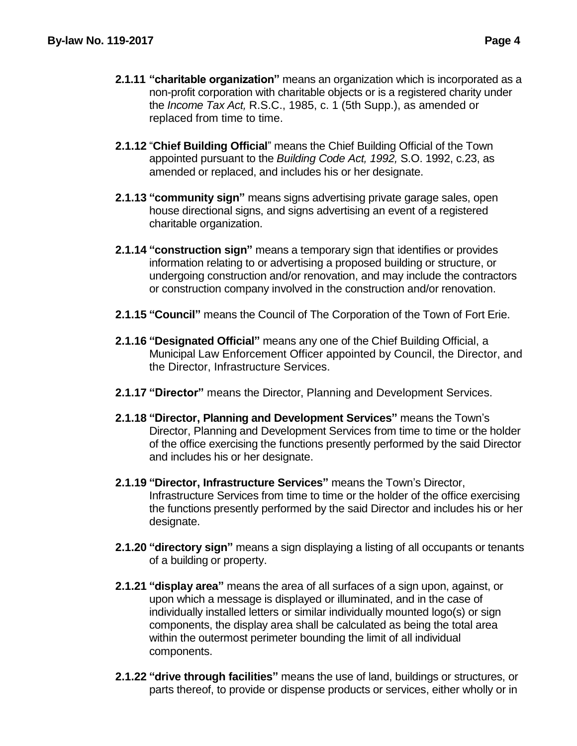- **2.1.11 "charitable organization"** means an organization which is incorporated as a non-profit corporation with charitable objects or is a registered charity under the *Income Tax Act,* R.S.C., 1985, c. 1 (5th Supp.), as amended or replaced from time to time.
- **2.1.12** "**Chief Building Official**" means the Chief Building Official of the Town appointed pursuant to the *Building Code Act, 1992,* S.O. 1992, c.23, as amended or replaced, and includes his or her designate.
- **2.1.13 "community sign"** means signs advertising private garage sales, open house directional signs, and signs advertising an event of a registered charitable organization.
- **2.1.14 "construction sign"** means a temporary sign that identifies or provides information relating to or advertising a proposed building or structure, or undergoing construction and/or renovation, and may include the contractors or construction company involved in the construction and/or renovation.
- **2.1.15 "Council"** means the Council of The Corporation of the Town of Fort Erie.
- **2.1.16 "Designated Official"** means any one of the Chief Building Official, a Municipal Law Enforcement Officer appointed by Council, the Director, and the Director, Infrastructure Services.
- **2.1.17 "Director"** means the Director, Planning and Development Services.
- **2.1.18 "Director, Planning and Development Services"** means the Town's Director, Planning and Development Services from time to time or the holder of the office exercising the functions presently performed by the said Director and includes his or her designate.
- **2.1.19 "Director, Infrastructure Services"** means the Town's Director, Infrastructure Services from time to time or the holder of the office exercising the functions presently performed by the said Director and includes his or her designate.
- **2.1.20 "directory sign"** means a sign displaying a listing of all occupants or tenants of a building or property.
- **2.1.21 "display area"** means the area of all surfaces of a sign upon, against, or upon which a message is displayed or illuminated, and in the case of individually installed letters or similar individually mounted logo(s) or sign components, the display area shall be calculated as being the total area within the outermost perimeter bounding the limit of all individual components.
- **2.1.22 "drive through facilities"** means the use of land, buildings or structures, or parts thereof, to provide or dispense products or services, either wholly or in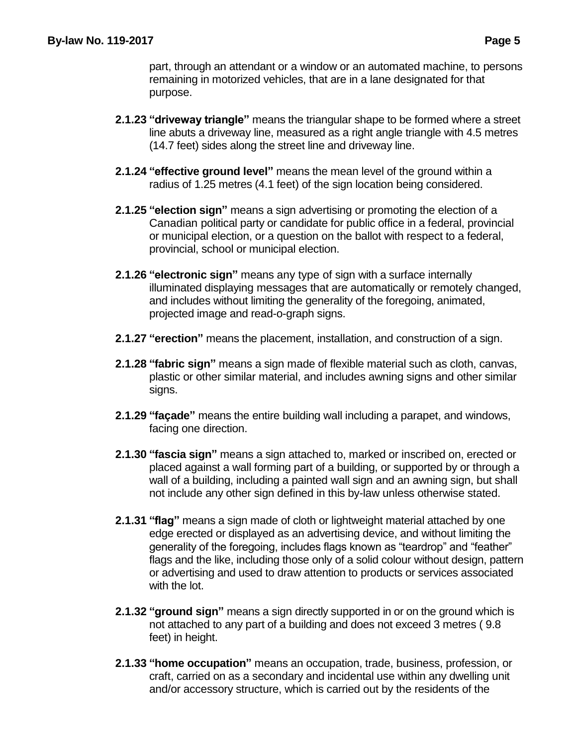part, through an attendant or a window or an automated machine, to persons remaining in motorized vehicles, that are in a lane designated for that purpose.

- **2.1.23 "driveway triangle"** means the triangular shape to be formed where a street line abuts a driveway line, measured as a right angle triangle with 4.5 metres (14.7 feet) sides along the street line and driveway line.
- **2.1.24 "effective ground level"** means the mean level of the ground within a radius of 1.25 metres (4.1 feet) of the sign location being considered.
- **2.1.25 "election sign"** means a sign advertising or promoting the election of a Canadian political party or candidate for public office in a federal, provincial or municipal election, or a question on the ballot with respect to a federal, provincial, school or municipal election.
- **2.1.26 "electronic sign"** means any type of sign with a surface internally illuminated displaying messages that are automatically or remotely changed, and includes without limiting the generality of the foregoing, animated, projected image and read-o-graph signs.
- **2.1.27 "erection"** means the placement, installation, and construction of a sign.
- **2.1.28 "fabric sign"** means a sign made of flexible material such as cloth, canvas, plastic or other similar material, and includes awning signs and other similar signs.
- **2.1.29 "façade"** means the entire building wall including a parapet, and windows, facing one direction.
- **2.1.30 "fascia sign"** means a sign attached to, marked or inscribed on, erected or placed against a wall forming part of a building, or supported by or through a wall of a building, including a painted wall sign and an awning sign, but shall not include any other sign defined in this by-law unless otherwise stated.
- **2.1.31 "flag"** means a sign made of cloth or lightweight material attached by one edge erected or displayed as an advertising device, and without limiting the generality of the foregoing, includes flags known as "teardrop" and "feather" flags and the like, including those only of a solid colour without design, pattern or advertising and used to draw attention to products or services associated with the lot.
- **2.1.32 "ground sign"** means a sign directly supported in or on the ground which is not attached to any part of a building and does not exceed 3 metres ( 9.8 feet) in height.
- **2.1.33 "home occupation"** means an occupation, trade, business, profession, or craft, carried on as a secondary and incidental use within any dwelling unit and/or accessory structure, which is carried out by the residents of the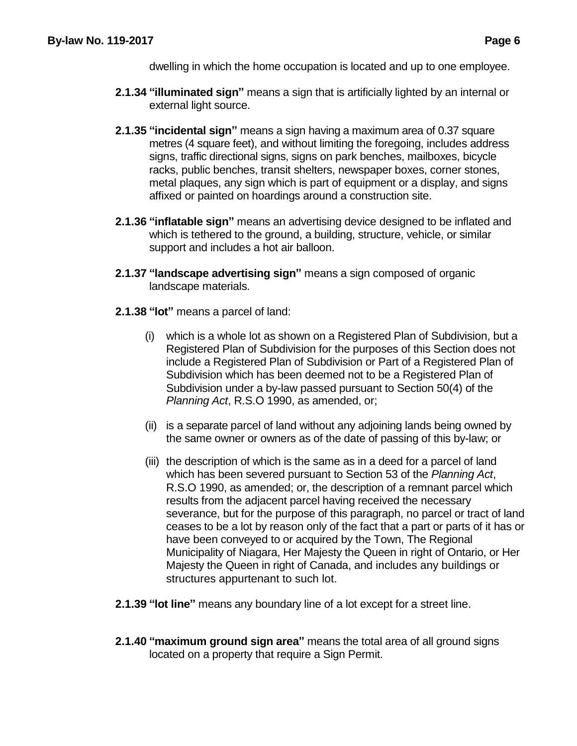dwelling in which the home occupation is located and up to one employee.

- **2.1.34 "illuminated sign"** means a sign that is artificially lighted by an internal or external light source.
- **2.1.35 "incidental sign"** means a sign having a maximum area of 0.37 square metres (4 square feet), and without limiting the foregoing, includes address signs, traffic directional signs, signs on park benches, mailboxes, bicycle racks, public benches, transit shelters, newspaper boxes, corner stones, metal plaques, any sign which is part of equipment or a display, and signs affixed or painted on hoardings around a construction site.
- **2.1.36 "inflatable sign"** means an advertising device designed to be inflated and which is tethered to the ground, a building, structure, vehicle, or similar support and includes a hot air balloon.
- **2.1.37 "landscape advertising sign"** means a sign composed of organic landscape materials.
- **2.1.38 "lot"** means a parcel of land:
	- (i) which is a whole lot as shown on a Registered Plan of Subdivision, but a Registered Plan of Subdivision for the purposes of this Section does not include a Registered Plan of Subdivision or Part of a Registered Plan of Subdivision which has been deemed not to be a Registered Plan of Subdivision under a by-law passed pursuant to Section 50(4) of the *Planning Act*, R.S.O 1990, as amended, or;
	- (ii) is a separate parcel of land without any adjoining lands being owned by the same owner or owners as of the date of passing of this by-law; or
	- (iii) the description of which is the same as in a deed for a parcel of land which has been severed pursuant to Section 53 of the *Planning Act*, R.S.O 1990, as amended; or, the description of a remnant parcel which results from the adjacent parcel having received the necessary severance, but for the purpose of this paragraph, no parcel or tract of land ceases to be a lot by reason only of the fact that a part or parts of it has or have been conveyed to or acquired by the Town, The Regional Municipality of Niagara, Her Majesty the Queen in right of Ontario, or Her Majesty the Queen in right of Canada, and includes any buildings or structures appurtenant to such lot.
- **2.1.39 "lot line"** means any boundary line of a lot except for a street line.
- **2.1.40 "maximum ground sign area"** means the total area of all ground signs located on a property that require a Sign Permit.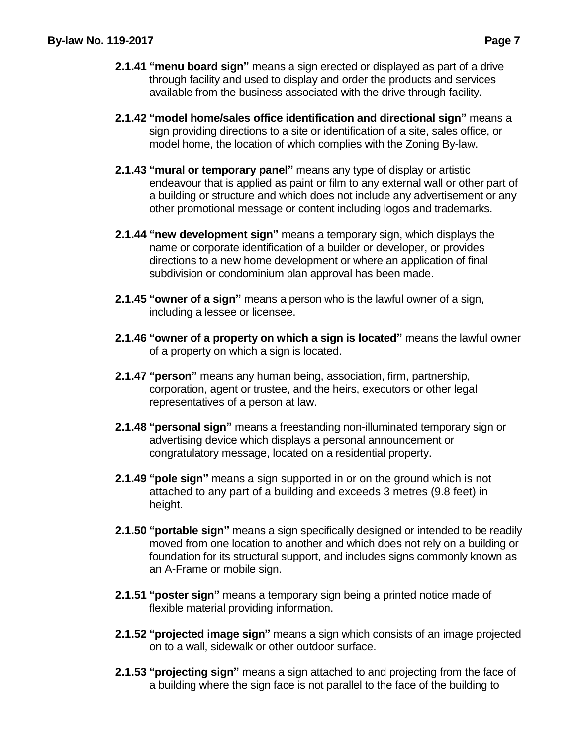- **2.1.41 "menu board sign"** means a sign erected or displayed as part of a drive through facility and used to display and order the products and services available from the business associated with the drive through facility.
- **2.1.42 "model home/sales office identification and directional sign"** means a sign providing directions to a site or identification of a site, sales office, or model home, the location of which complies with the Zoning By-law.
- **2.1.43 "mural or temporary panel"** means any type of display or artistic endeavour that is applied as paint or film to any external wall or other part of a building or structure and which does not include any advertisement or any other promotional message or content including logos and trademarks.
- **2.1.44 "new development sign"** means a temporary sign, which displays the name or corporate identification of a builder or developer, or provides directions to a new home development or where an application of final subdivision or condominium plan approval has been made.
- **2.1.45 "owner of a sign"** means a person who is the lawful owner of a sign, including a lessee or licensee.
- **2.1.46 "owner of a property on which a sign is located"** means the lawful owner of a property on which a sign is located.
- **2.1.47 "person"** means any human being, association, firm, partnership, corporation, agent or trustee, and the heirs, executors or other legal representatives of a person at law.
- **2.1.48 "personal sign"** means a freestanding non-illuminated temporary sign or advertising device which displays a personal announcement or congratulatory message, located on a residential property.
- **2.1.49 "pole sign"** means a sign supported in or on the ground which is not attached to any part of a building and exceeds 3 metres (9.8 feet) in height.
- **2.1.50 "portable sign"** means a sign specifically designed or intended to be readily moved from one location to another and which does not rely on a building or foundation for its structural support, and includes signs commonly known as an A-Frame or mobile sign.
- **2.1.51 "poster sign"** means a temporary sign being a printed notice made of flexible material providing information.
- **2.1.52 "projected image sign"** means a sign which consists of an image projected on to a wall, sidewalk or other outdoor surface.
- **2.1.53 "projecting sign"** means a sign attached to and projecting from the face of a building where the sign face is not parallel to the face of the building to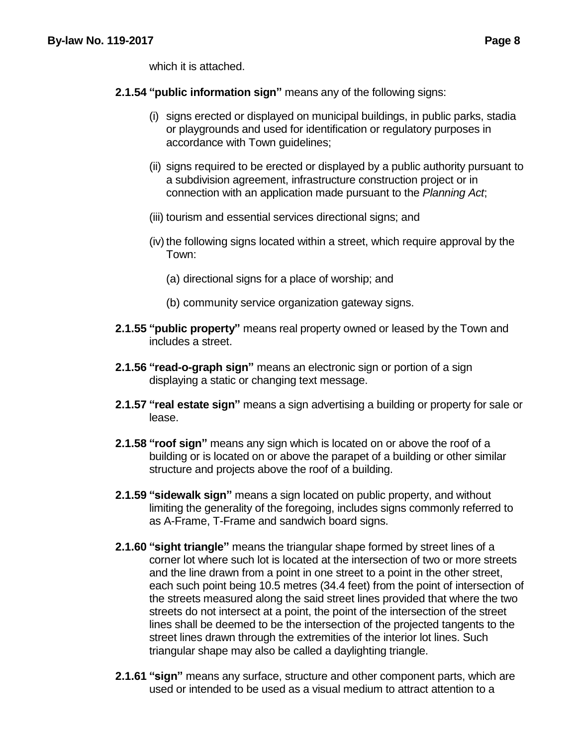which it is attached.

- **2.1.54 "public information sign"** means any of the following signs:
	- (i) signs erected or displayed on municipal buildings, in public parks, stadia or playgrounds and used for identification or regulatory purposes in accordance with Town guidelines;
	- (ii) signs required to be erected or displayed by a public authority pursuant to a subdivision agreement, infrastructure construction project or in connection with an application made pursuant to the *Planning Act*;
	- (iii) tourism and essential services directional signs; and
	- $(iv)$  the following signs located within a street, which require approval by the Town:
		- (a) directional signs for a place of worship; and
		- (b) community service organization gateway signs.
- **2.1.55 "public property"** means real property owned or leased by the Town and includes a street.
- **2.1.56 "read-o-graph sign"** means an electronic sign or portion of a sign displaying a static or changing text message.
- **2.1.57 "real estate sign"** means a sign advertising a building or property for sale or lease.
- **2.1.58 "roof sign"** means any sign which is located on or above the roof of a building or is located on or above the parapet of a building or other similar structure and projects above the roof of a building.
- **2.1.59 "sidewalk sign"** means a sign located on public property, and without limiting the generality of the foregoing, includes signs commonly referred to as A-Frame, T-Frame and sandwich board signs.
- **2.1.60 "sight triangle"** means the triangular shape formed by street lines of a corner lot where such lot is located at the intersection of two or more streets and the line drawn from a point in one street to a point in the other street, each such point being 10.5 metres (34.4 feet) from the point of intersection of the streets measured along the said street lines provided that where the two streets do not intersect at a point, the point of the intersection of the street lines shall be deemed to be the intersection of the projected tangents to the street lines drawn through the extremities of the interior lot lines. Such triangular shape may also be called a daylighting triangle.
- **2.1.61 "sign"** means any surface, structure and other component parts, which are used or intended to be used as a visual medium to attract attention to a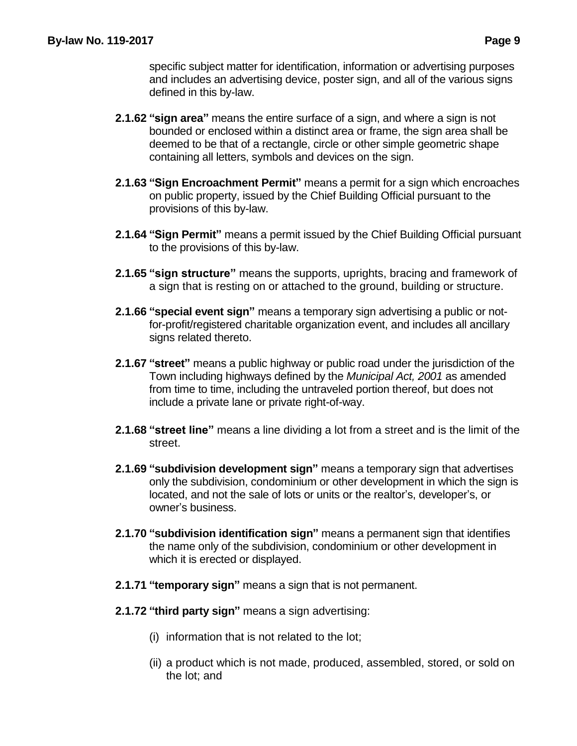specific subject matter for identification, information or advertising purposes and includes an advertising device, poster sign, and all of the various signs defined in this by-law.

- **2.1.62 "sign area"** means the entire surface of a sign, and where a sign is not bounded or enclosed within a distinct area or frame, the sign area shall be deemed to be that of a rectangle, circle or other simple geometric shape containing all letters, symbols and devices on the sign.
- **2.1.63 "Sign Encroachment Permit"** means a permit for a sign which encroaches on public property, issued by the Chief Building Official pursuant to the provisions of this by-law.
- **2.1.64 "Sign Permit"** means a permit issued by the Chief Building Official pursuant to the provisions of this by-law.
- **2.1.65 "sign structure"** means the supports, uprights, bracing and framework of a sign that is resting on or attached to the ground, building or structure.
- **2.1.66 "special event sign"** means a temporary sign advertising a public or notfor-profit/registered charitable organization event, and includes all ancillary signs related thereto.
- **2.1.67 "street"** means a public highway or public road under the jurisdiction of the Town including highways defined by the *Municipal Act, 2001* as amended from time to time, including the untraveled portion thereof, but does not include a private lane or private right-of-way.
- **2.1.68 "street line"** means a line dividing a lot from a street and is the limit of the street.
- **2.1.69 "subdivision development sign"** means a temporary sign that advertises only the subdivision, condominium or other development in which the sign is located, and not the sale of lots or units or the realtor's, developer's, or owner's business.
- **2.1.70 "subdivision identification sign"** means a permanent sign that identifies the name only of the subdivision, condominium or other development in which it is erected or displayed.
- **2.1.71 "temporary sign"** means a sign that is not permanent.
- **2.1.72 "third party sign"** means a sign advertising:
	- (i) information that is not related to the lot;
	- (ii) a product which is not made, produced, assembled, stored, or sold on the lot; and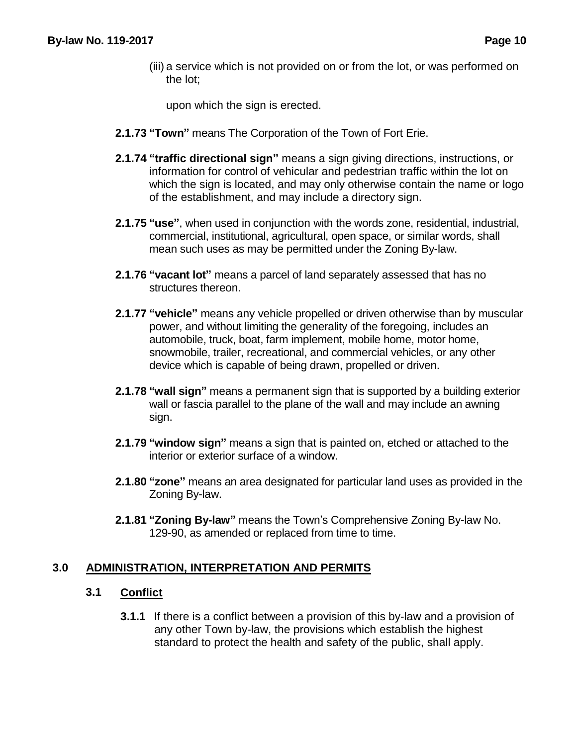(iii) a service which is not provided on or from the lot, or was performed on the lot;

upon which the sign is erected.

- **2.1.73 "Town"** means The Corporation of the Town of Fort Erie.
- **2.1.74 "traffic directional sign"** means a sign giving directions, instructions, or information for control of vehicular and pedestrian traffic within the lot on which the sign is located, and may only otherwise contain the name or logo of the establishment, and may include a directory sign.
- **2.1.75 "use"**, when used in conjunction with the words zone, residential, industrial, commercial, institutional, agricultural, open space, or similar words, shall mean such uses as may be permitted under the Zoning By-law.
- **2.1.76 "vacant lot"** means a parcel of land separately assessed that has no structures thereon.
- **2.1.77 "vehicle"** means any vehicle propelled or driven otherwise than by muscular power, and without limiting the generality of the foregoing, includes an automobile, truck, boat, farm implement, mobile home, motor home, snowmobile, trailer, recreational, and commercial vehicles, or any other device which is capable of being drawn, propelled or driven.
- **2.1.78 "wall sign"** means a permanent sign that is supported by a building exterior wall or fascia parallel to the plane of the wall and may include an awning sign.
- **2.1.79 "window sign"** means a sign that is painted on, etched or attached to the interior or exterior surface of a window.
- **2.1.80 "zone"** means an area designated for particular land uses as provided in the Zoning By-law.
- **2.1.81 "Zoning By-law"** means the Town's Comprehensive Zoning By-law No. 129-90, as amended or replaced from time to time.

# **3.0 ADMINISTRATION, INTERPRETATION AND PERMITS**

# **3.1 Conflict**

**3.1.1** If there is a conflict between a provision of this by-law and a provision of any other Town by-law, the provisions which establish the highest standard to protect the health and safety of the public, shall apply.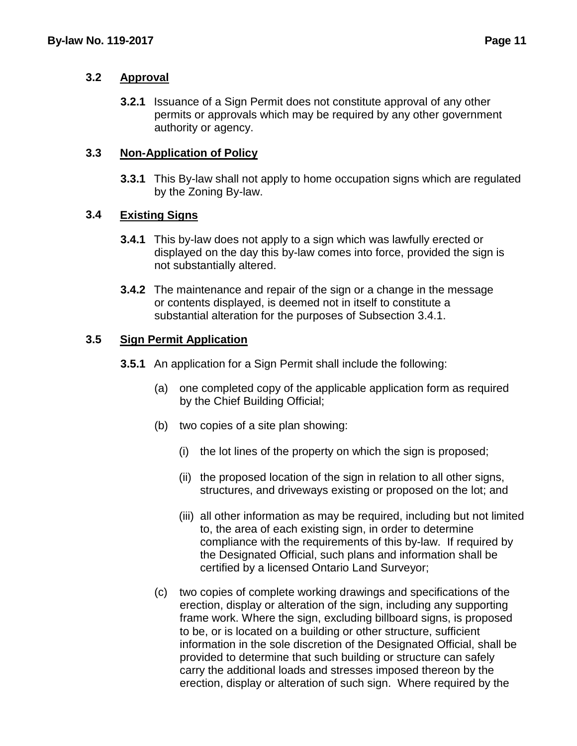#### **3.2 Approval**

**3.2.1** Issuance of a Sign Permit does not constitute approval of any other permits or approvals which may be required by any other government authority or agency.

### **3.3 Non-Application of Policy**

**3.3.1** This By-law shall not apply to home occupation signs which are regulated by the Zoning By-law.

### **3.4 Existing Signs**

- **3.4.1** This by-law does not apply to a sign which was lawfully erected or displayed on the day this by-law comes into force, provided the sign is not substantially altered.
- **3.4.2** The maintenance and repair of the sign or a change in the message or contents displayed, is deemed not in itself to constitute a substantial alteration for the purposes of Subsection 3.4.1.

### **3.5 Sign Permit Application**

- **3.5.1** An application for a Sign Permit shall include the following:
	- (a) one completed copy of the applicable application form as required by the Chief Building Official;
	- (b) two copies of a site plan showing:
		- (i) the lot lines of the property on which the sign is proposed;
		- (ii) the proposed location of the sign in relation to all other signs, structures, and driveways existing or proposed on the lot; and
		- (iii) all other information as may be required, including but not limited to, the area of each existing sign, in order to determine compliance with the requirements of this by-law. If required by the Designated Official, such plans and information shall be certified by a licensed Ontario Land Surveyor;
	- (c) two copies of complete working drawings and specifications of the erection, display or alteration of the sign, including any supporting frame work. Where the sign, excluding billboard signs, is proposed to be, or is located on a building or other structure, sufficient information in the sole discretion of the Designated Official, shall be provided to determine that such building or structure can safely carry the additional loads and stresses imposed thereon by the erection, display or alteration of such sign. Where required by the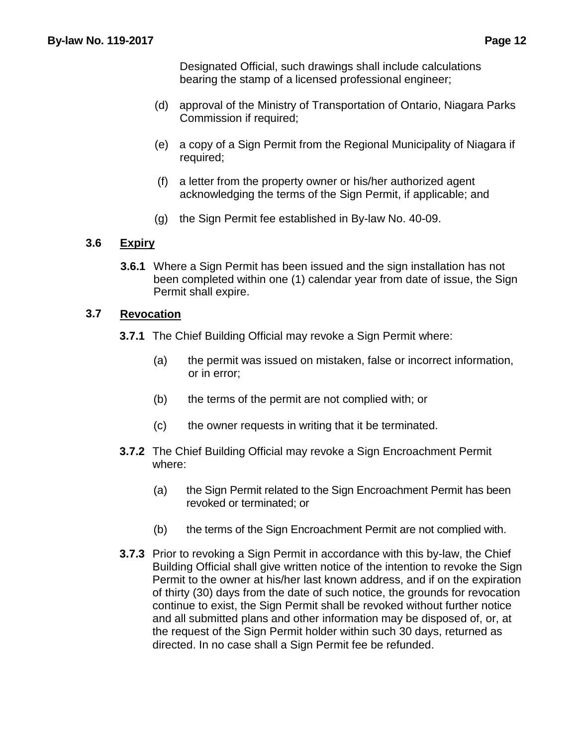Designated Official, such drawings shall include calculations bearing the stamp of a licensed professional engineer;

- (d) approval of the Ministry of Transportation of Ontario, Niagara Parks Commission if required;
- (e) a copy of a Sign Permit from the Regional Municipality of Niagara if required;
- (f) a letter from the property owner or his/her authorized agent acknowledging the terms of the Sign Permit, if applicable; and
- (g) the Sign Permit fee established in By-law No. 40-09.

### **3.6 Expiry**

**3.6.1** Where a Sign Permit has been issued and the sign installation has not been completed within one (1) calendar year from date of issue, the Sign Permit shall expire.

### **3.7 Revocation**

- **3.7.1** The Chief Building Official may revoke a Sign Permit where:
	- (a) the permit was issued on mistaken, false or incorrect information, or in error;
	- (b) the terms of the permit are not complied with; or
	- (c) the owner requests in writing that it be terminated.
- **3.7.2** The Chief Building Official may revoke a Sign Encroachment Permit where:
	- (a) the Sign Permit related to the Sign Encroachment Permit has been revoked or terminated; or
	- (b) the terms of the Sign Encroachment Permit are not complied with.
- **3.7.3** Prior to revoking a Sign Permit in accordance with this by-law, the Chief Building Official shall give written notice of the intention to revoke the Sign Permit to the owner at his/her last known address, and if on the expiration of thirty (30) days from the date of such notice, the grounds for revocation continue to exist, the Sign Permit shall be revoked without further notice and all submitted plans and other information may be disposed of, or, at the request of the Sign Permit holder within such 30 days, returned as directed. In no case shall a Sign Permit fee be refunded.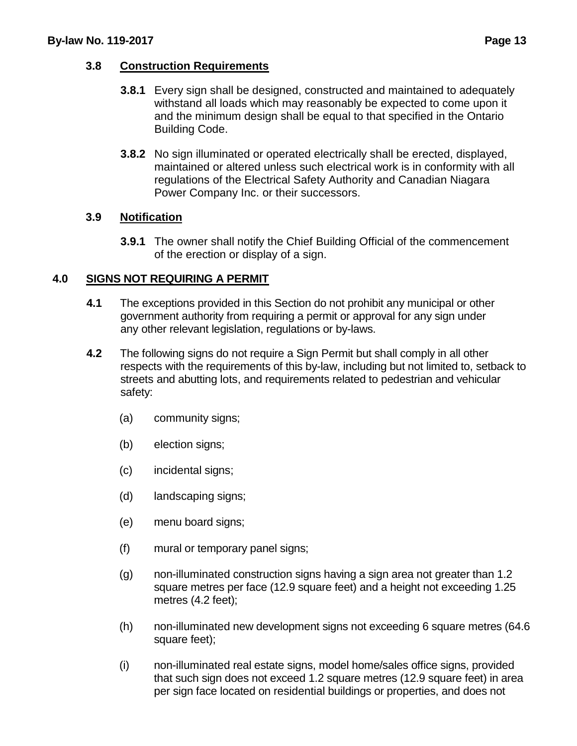# **3.8 Construction Requirements**

- **3.8.1** Every sign shall be designed, constructed and maintained to adequately withstand all loads which may reasonably be expected to come upon it and the minimum design shall be equal to that specified in the Ontario Building Code.
- **3.8.2** No sign illuminated or operated electrically shall be erected, displayed, maintained or altered unless such electrical work is in conformity with all regulations of the Electrical Safety Authority and Canadian Niagara Power Company Inc. or their successors.

# **3.9 Notification**

**3.9.1** The owner shall notify the Chief Building Official of the commencement of the erection or display of a sign.

# **4.0 SIGNS NOT REQUIRING A PERMIT**

- **4.1** The exceptions provided in this Section do not prohibit any municipal or other government authority from requiring a permit or approval for any sign under any other relevant legislation, regulations or by-laws.
- **4.2** The following signs do not require a Sign Permit but shall comply in all other respects with the requirements of this by-law, including but not limited to, setback to streets and abutting lots, and requirements related to pedestrian and vehicular safety:
	- (a) community signs;
	- (b) election signs;
	- (c) incidental signs;
	- (d) landscaping signs;
	- (e) menu board signs;
	- (f) mural or temporary panel signs;
	- (g) non-illuminated construction signs having a sign area not greater than 1.2 square metres per face (12.9 square feet) and a height not exceeding 1.25 metres (4.2 feet);
	- (h) non-illuminated new development signs not exceeding 6 square metres (64.6 square feet);
	- (i) non-illuminated real estate signs, model home/sales office signs, provided that such sign does not exceed 1.2 square metres (12.9 square feet) in area per sign face located on residential buildings or properties, and does not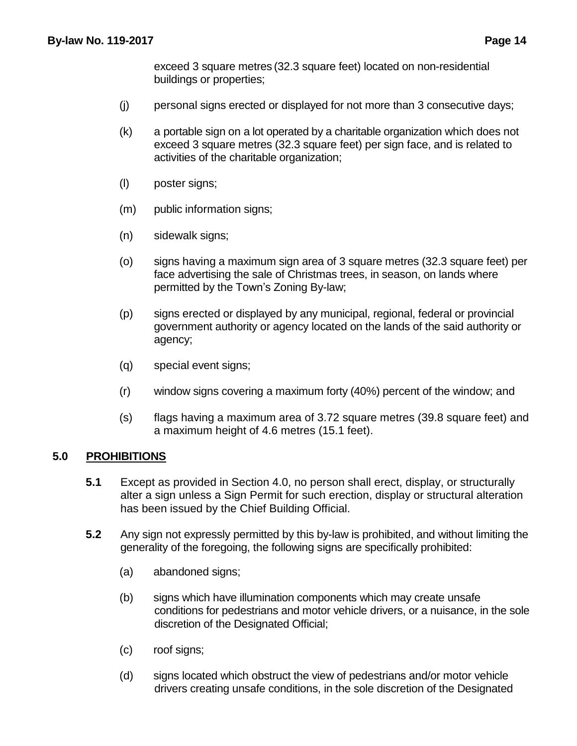exceed 3 square metres (32.3 square feet) located on non-residential buildings or properties;

- (j) personal signs erected or displayed for not more than 3 consecutive days;
- (k) a portable sign on a lot operated by a charitable organization which does not exceed 3 square metres (32.3 square feet) per sign face, and is related to activities of the charitable organization;
- (l) poster signs;
- (m) public information signs;
- (n) sidewalk signs;
- (o) signs having a maximum sign area of 3 square metres (32.3 square feet) per face advertising the sale of Christmas trees, in season, on lands where permitted by the Town's Zoning By-law;
- (p) signs erected or displayed by any municipal, regional, federal or provincial government authority or agency located on the lands of the said authority or agency;
- (q) special event signs;
- (r) window signs covering a maximum forty (40%) percent of the window; and
- (s) flags having a maximum area of 3.72 square metres (39.8 square feet) and a maximum height of 4.6 metres (15.1 feet).

#### **5.0 PROHIBITIONS**

- **5.1** Except as provided in Section 4.0, no person shall erect, display, or structurally alter a sign unless a Sign Permit for such erection, display or structural alteration has been issued by the Chief Building Official.
- **5.2** Any sign not expressly permitted by this by-law is prohibited, and without limiting the generality of the foregoing, the following signs are specifically prohibited:
	- (a) abandoned signs;
	- (b) signs which have illumination components which may create unsafe conditions for pedestrians and motor vehicle drivers, or a nuisance, in the sole discretion of the Designated Official;
	- (c) roof signs;
	- (d) signs located which obstruct the view of pedestrians and/or motor vehicle drivers creating unsafe conditions, in the sole discretion of the Designated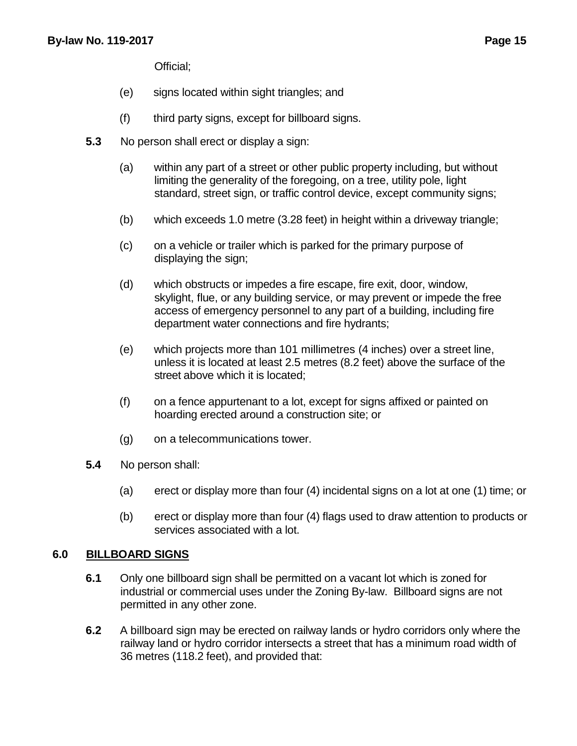Official;

- (e) signs located within sight triangles; and
- (f) third party signs, except for billboard signs.
- **5.3** No person shall erect or display a sign:
	- (a) within any part of a street or other public property including, but without limiting the generality of the foregoing, on a tree, utility pole, light standard, street sign, or traffic control device, except community signs;
	- (b) which exceeds 1.0 metre (3.28 feet) in height within a driveway triangle;
	- (c) on a vehicle or trailer which is parked for the primary purpose of displaying the sign;
	- (d) which obstructs or impedes a fire escape, fire exit, door, window, skylight, flue, or any building service, or may prevent or impede the free access of emergency personnel to any part of a building, including fire department water connections and fire hydrants;
	- (e) which projects more than 101 millimetres (4 inches) over a street line, unless it is located at least 2.5 metres (8.2 feet) above the surface of the street above which it is located;
	- (f) on a fence appurtenant to a lot, except for signs affixed or painted on hoarding erected around a construction site; or
	- (g) on a telecommunications tower.
- **5.4** No person shall:
	- (a) erect or display more than four (4) incidental signs on a lot at one (1) time; or
	- (b) erect or display more than four (4) flags used to draw attention to products or services associated with a lot.

#### **6.0 BILLBOARD SIGNS**

- **6.1** Only one billboard sign shall be permitted on a vacant lot which is zoned for industrial or commercial uses under the Zoning By-law. Billboard signs are not permitted in any other zone.
- **6.2** A billboard sign may be erected on railway lands or hydro corridors only where the railway land or hydro corridor intersects a street that has a minimum road width of 36 metres (118.2 feet), and provided that: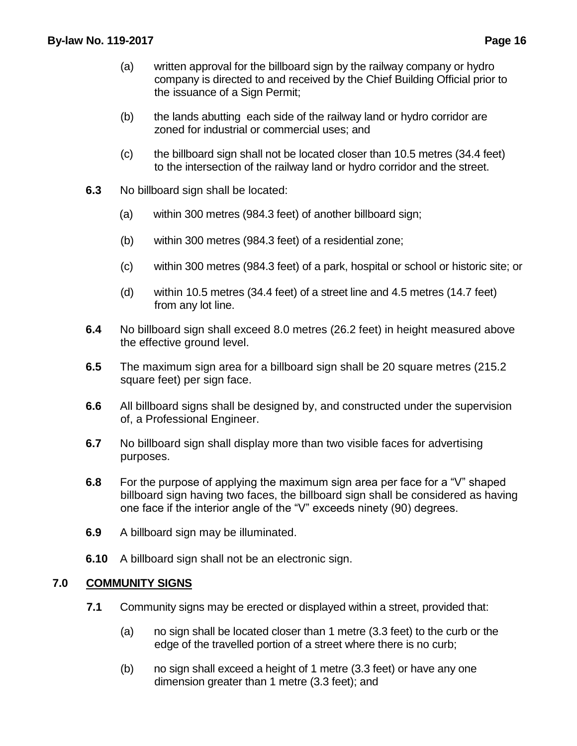- (a) written approval for the billboard sign by the railway company or hydro company is directed to and received by the Chief Building Official prior to the issuance of a Sign Permit;
- (b) the lands abutting each side of the railway land or hydro corridor are zoned for industrial or commercial uses; and
- (c) the billboard sign shall not be located closer than 10.5 metres (34.4 feet) to the intersection of the railway land or hydro corridor and the street.
- **6.3** No billboard sign shall be located:
	- (a) within 300 metres (984.3 feet) of another billboard sign;
	- (b) within 300 metres (984.3 feet) of a residential zone;
	- (c) within 300 metres (984.3 feet) of a park, hospital or school or historic site; or
	- (d) within 10.5 metres (34.4 feet) of a street line and 4.5 metres (14.7 feet) from any lot line.
- **6.4** No billboard sign shall exceed 8.0 metres (26.2 feet) in height measured above the effective ground level.
- **6.5** The maximum sign area for a billboard sign shall be 20 square metres (215.2 square feet) per sign face.
- **6.6** All billboard signs shall be designed by, and constructed under the supervision of, a Professional Engineer.
- **6.7** No billboard sign shall display more than two visible faces for advertising purposes.
- **6.8** For the purpose of applying the maximum sign area per face for a "V" shaped billboard sign having two faces, the billboard sign shall be considered as having one face if the interior angle of the "V" exceeds ninety (90) degrees.
- **6.9** A billboard sign may be illuminated.
- **6.10** A billboard sign shall not be an electronic sign.

#### **7.0 COMMUNITY SIGNS**

- **7.1** Community signs may be erected or displayed within a street, provided that:
	- (a) no sign shall be located closer than 1 metre (3.3 feet) to the curb or the edge of the travelled portion of a street where there is no curb;
	- (b) no sign shall exceed a height of 1 metre (3.3 feet) or have any one dimension greater than 1 metre (3.3 feet); and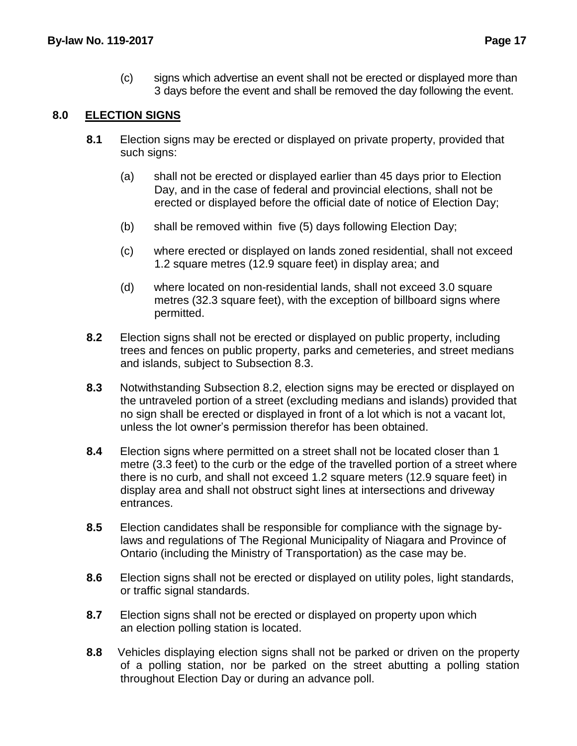(c) signs which advertise an event shall not be erected or displayed more than 3 days before the event and shall be removed the day following the event.

# **8.0 ELECTION SIGNS**

- **8.1** Election signs may be erected or displayed on private property, provided that such signs:
	- (a) shall not be erected or displayed earlier than 45 days prior to Election Day, and in the case of federal and provincial elections, shall not be erected or displayed before the official date of notice of Election Day;
	- (b) shall be removed within five (5) days following Election Day;
	- (c) where erected or displayed on lands zoned residential, shall not exceed 1.2 square metres (12.9 square feet) in display area; and
	- (d) where located on non-residential lands, shall not exceed 3.0 square metres (32.3 square feet), with the exception of billboard signs where permitted.
- **8.2** Election signs shall not be erected or displayed on public property, including trees and fences on public property, parks and cemeteries, and street medians and islands, subject to Subsection 8.3.
- **8.3** Notwithstanding Subsection 8.2, election signs may be erected or displayed on the untraveled portion of a street (excluding medians and islands) provided that no sign shall be erected or displayed in front of a lot which is not a vacant lot, unless the lot owner's permission therefor has been obtained.
- **8.4** Election signs where permitted on a street shall not be located closer than 1 metre (3.3 feet) to the curb or the edge of the travelled portion of a street where there is no curb, and shall not exceed 1.2 square meters (12.9 square feet) in display area and shall not obstruct sight lines at intersections and driveway entrances.
- **8.5** Election candidates shall be responsible for compliance with the signage bylaws and regulations of The Regional Municipality of Niagara and Province of Ontario (including the Ministry of Transportation) as the case may be.
- **8.6** Election signs shall not be erected or displayed on utility poles, light standards, or traffic signal standards.
- **8.7** Election signs shall not be erected or displayed on property upon which an election polling station is located.
- **8.8** Vehicles displaying election signs shall not be parked or driven on the property of a polling station, nor be parked on the street abutting a polling station throughout Election Day or during an advance poll.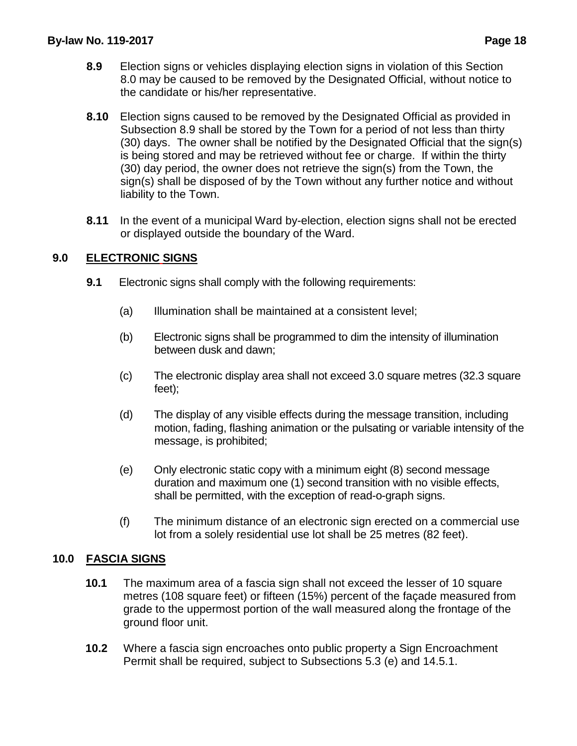- **8.9** Election signs or vehicles displaying election signs in violation of this Section 8.0 may be caused to be removed by the Designated Official, without notice to the candidate or his/her representative.
- **8.10** Election signs caused to be removed by the Designated Official as provided in Subsection 8.9 shall be stored by the Town for a period of not less than thirty (30) days. The owner shall be notified by the Designated Official that the sign(s) is being stored and may be retrieved without fee or charge. If within the thirty (30) day period, the owner does not retrieve the sign(s) from the Town, the sign(s) shall be disposed of by the Town without any further notice and without liability to the Town.
- **8.11** In the event of a municipal Ward by-election, election signs shall not be erected or displayed outside the boundary of the Ward.

# **9.0 ELECTRONIC SIGNS**

- **9.1** Electronic signs shall comply with the following requirements:
	- (a) Illumination shall be maintained at a consistent level;
	- (b) Electronic signs shall be programmed to dim the intensity of illumination between dusk and dawn;
	- (c) The electronic display area shall not exceed 3.0 square metres (32.3 square feet);
	- (d) The display of any visible effects during the message transition, including motion, fading, flashing animation or the pulsating or variable intensity of the message, is prohibited;
	- (e) Only electronic static copy with a minimum eight (8) second message duration and maximum one (1) second transition with no visible effects, shall be permitted, with the exception of read-o-graph signs.
	- (f) The minimum distance of an electronic sign erected on a commercial use lot from a solely residential use lot shall be 25 metres (82 feet).

# **10.0 FASCIA SIGNS**

- **10.1** The maximum area of a fascia sign shall not exceed the lesser of 10 square metres (108 square feet) or fifteen (15%) percent of the façade measured from grade to the uppermost portion of the wall measured along the frontage of the ground floor unit.
- **10.2** Where a fascia sign encroaches onto public property a Sign Encroachment Permit shall be required, subject to Subsections 5.3 (e) and 14.5.1.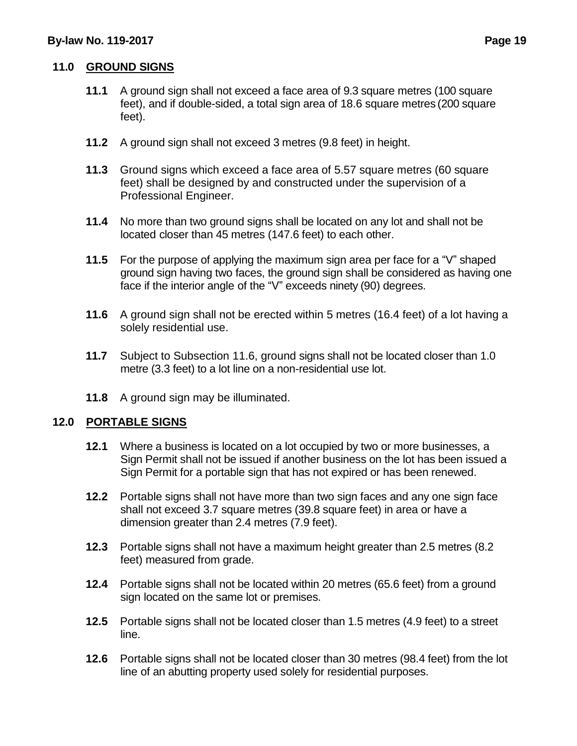# **11.0 GROUND SIGNS**

- **11.1** A ground sign shall not exceed a face area of 9.3 square metres (100 square feet), and if double-sided, a total sign area of 18.6 square metres (200 square feet).
- **11.2** A ground sign shall not exceed 3 metres (9.8 feet) in height.
- **11.3** Ground signs which exceed a face area of 5.57 square metres (60 square feet) shall be designed by and constructed under the supervision of a Professional Engineer.
- **11.4** No more than two ground signs shall be located on any lot and shall not be located closer than 45 metres (147.6 feet) to each other.
- **11.5** For the purpose of applying the maximum sign area per face for a "V" shaped ground sign having two faces, the ground sign shall be considered as having one face if the interior angle of the "V" exceeds ninety (90) degrees.
- **11.6** A ground sign shall not be erected within 5 metres (16.4 feet) of a lot having a solely residential use.
- **11.7** Subject to Subsection 11.6, ground signs shall not be located closer than 1.0 metre (3.3 feet) to a lot line on a non-residential use lot.
- **11.8** A ground sign may be illuminated.

#### **12.0 PORTABLE SIGNS**

- **12.1** Where a business is located on a lot occupied by two or more businesses, a Sign Permit shall not be issued if another business on the lot has been issued a Sign Permit for a portable sign that has not expired or has been renewed.
- **12.2** Portable signs shall not have more than two sign faces and any one sign face shall not exceed 3.7 square metres (39.8 square feet) in area or have a dimension greater than 2.4 metres (7.9 feet).
- **12.3** Portable signs shall not have a maximum height greater than 2.5 metres (8.2 feet) measured from grade.
- **12.4** Portable signs shall not be located within 20 metres (65.6 feet) from a ground sign located on the same lot or premises.
- **12.5** Portable signs shall not be located closer than 1.5 metres (4.9 feet) to a street line.
- **12.6** Portable signs shall not be located closer than 30 metres (98.4 feet) from the lot line of an abutting property used solely for residential purposes.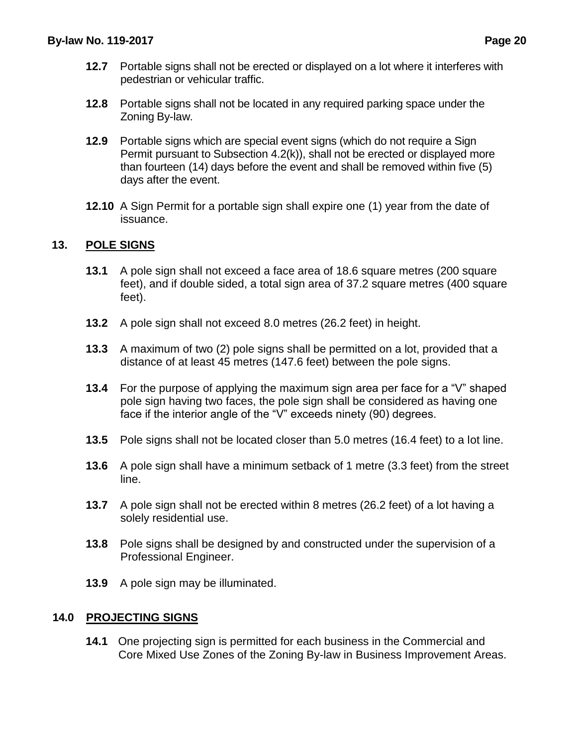- **12.7** Portable signs shall not be erected or displayed on a lot where it interferes with pedestrian or vehicular traffic.
- **12.8** Portable signs shall not be located in any required parking space under the Zoning By-law.
- **12.9** Portable signs which are special event signs (which do not require a Sign Permit pursuant to Subsection 4.2(k)), shall not be erected or displayed more than fourteen (14) days before the event and shall be removed within five (5) days after the event.
- **12.10** A Sign Permit for a portable sign shall expire one (1) year from the date of issuance.

# **13. POLE SIGNS**

- **13.1** A pole sign shall not exceed a face area of 18.6 square metres (200 square feet), and if double sided, a total sign area of 37.2 square metres (400 square feet).
- **13.2** A pole sign shall not exceed 8.0 metres (26.2 feet) in height.
- **13.3** A maximum of two (2) pole signs shall be permitted on a lot, provided that a distance of at least 45 metres (147.6 feet) between the pole signs.
- **13.4** For the purpose of applying the maximum sign area per face for a "V" shaped pole sign having two faces, the pole sign shall be considered as having one face if the interior angle of the "V" exceeds ninety (90) degrees.
- **13.5** Pole signs shall not be located closer than 5.0 metres (16.4 feet) to a lot line.
- **13.6** A pole sign shall have a minimum setback of 1 metre (3.3 feet) from the street line.
- **13.7** A pole sign shall not be erected within 8 metres (26.2 feet) of a lot having a solely residential use.
- **13.8** Pole signs shall be designed by and constructed under the supervision of a Professional Engineer.
- **13.9** A pole sign may be illuminated.

# **14.0 PROJECTING SIGNS**

**14.1** One projecting sign is permitted for each business in the Commercial and Core Mixed Use Zones of the Zoning By-law in Business Improvement Areas.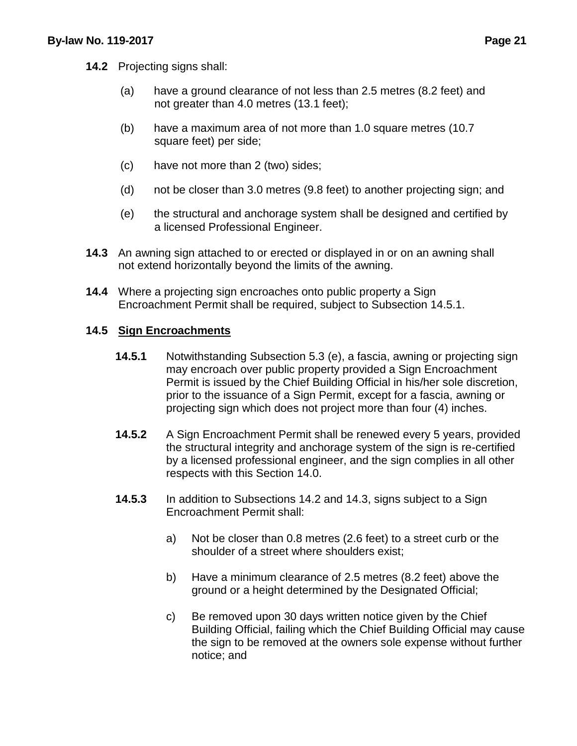- **14.2** Projecting signs shall:
	- (a) have a ground clearance of not less than 2.5 metres (8.2 feet) and not greater than 4.0 metres (13.1 feet);
	- (b) have a maximum area of not more than 1.0 square metres (10.7 square feet) per side;
	- (c) have not more than 2 (two) sides;
	- (d) not be closer than 3.0 metres (9.8 feet) to another projecting sign; and
	- (e) the structural and anchorage system shall be designed and certified by a licensed Professional Engineer.
- **14.3** An awning sign attached to or erected or displayed in or on an awning shall not extend horizontally beyond the limits of the awning.
- **14.4** Where a projecting sign encroaches onto public property a Sign Encroachment Permit shall be required, subject to Subsection 14.5.1.

### **14.5 Sign Encroachments**

- **14.5.1** Notwithstanding Subsection 5.3 (e), a fascia, awning or projecting sign may encroach over public property provided a Sign Encroachment Permit is issued by the Chief Building Official in his/her sole discretion, prior to the issuance of a Sign Permit, except for a fascia, awning or projecting sign which does not project more than four (4) inches.
- **14.5.2** A Sign Encroachment Permit shall be renewed every 5 years, provided the structural integrity and anchorage system of the sign is re-certified by a licensed professional engineer, and the sign complies in all other respects with this Section 14.0.
- **14.5.3** In addition to Subsections 14.2 and 14.3, signs subject to a Sign Encroachment Permit shall:
	- a) Not be closer than 0.8 metres (2.6 feet) to a street curb or the shoulder of a street where shoulders exist;
	- b) Have a minimum clearance of 2.5 metres (8.2 feet) above the ground or a height determined by the Designated Official;
	- c) Be removed upon 30 days written notice given by the Chief Building Official, failing which the Chief Building Official may cause the sign to be removed at the owners sole expense without further notice; and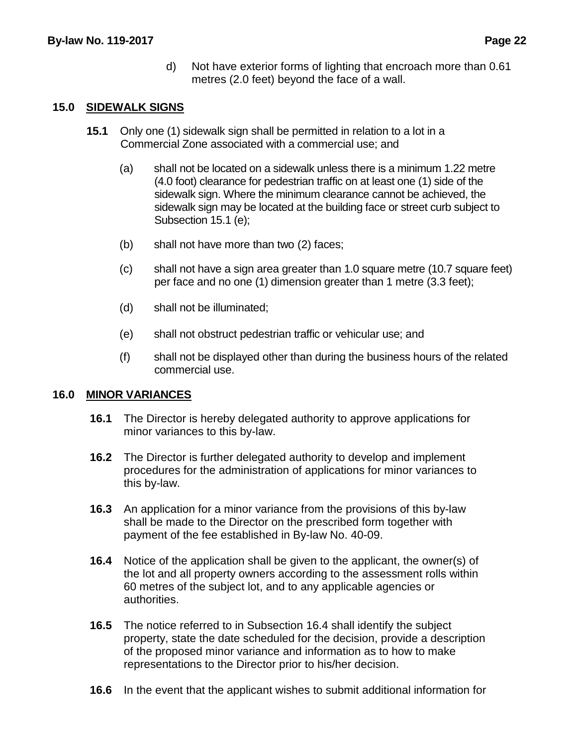d) Not have exterior forms of lighting that encroach more than 0.61 metres (2.0 feet) beyond the face of a wall.

#### **15.0 SIDEWALK SIGNS**

- **15.1** Only one (1) sidewalk sign shall be permitted in relation to a lot in a Commercial Zone associated with a commercial use; and
	- (a) shall not be located on a sidewalk unless there is a minimum 1.22 metre (4.0 foot) clearance for pedestrian traffic on at least one (1) side of the sidewalk sign. Where the minimum clearance cannot be achieved, the sidewalk sign may be located at the building face or street curb subject to Subsection 15.1 (e);
	- (b) shall not have more than two (2) faces;
	- (c) shall not have a sign area greater than 1.0 square metre (10.7 square feet) per face and no one (1) dimension greater than 1 metre (3.3 feet);
	- (d) shall not be illuminated;
	- (e) shall not obstruct pedestrian traffic or vehicular use; and
	- (f) shall not be displayed other than during the business hours of the related commercial use.

# **16.0 MINOR VARIANCES**

- **16.1** The Director is hereby delegated authority to approve applications for minor variances to this by-law.
- **16.2** The Director is further delegated authority to develop and implement procedures for the administration of applications for minor variances to this by-law.
- **16.3** An application for a minor variance from the provisions of this by-law shall be made to the Director on the prescribed form together with payment of the fee established in By-law No. 40-09.
- **16.4** Notice of the application shall be given to the applicant, the owner(s) of the lot and all property owners according to the assessment rolls within 60 metres of the subject lot, and to any applicable agencies or authorities.
- **16.5** The notice referred to in Subsection 16.4 shall identify the subject property, state the date scheduled for the decision, provide a description of the proposed minor variance and information as to how to make representations to the Director prior to his/her decision.
- **16.6** In the event that the applicant wishes to submit additional information for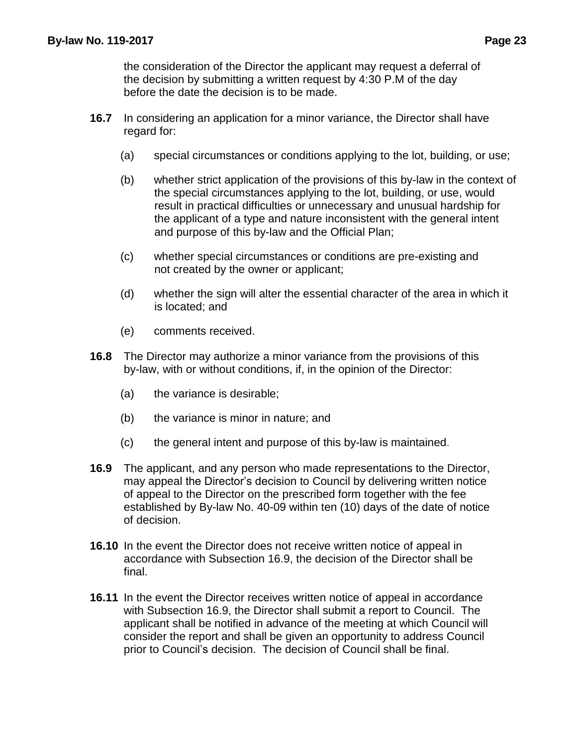the consideration of the Director the applicant may request a deferral of the decision by submitting a written request by 4:30 P.M of the day before the date the decision is to be made.

- **16.7** In considering an application for a minor variance, the Director shall have regard for:
	- (a) special circumstances or conditions applying to the lot, building, or use;
	- (b) whether strict application of the provisions of this by-law in the context of the special circumstances applying to the lot, building, or use, would result in practical difficulties or unnecessary and unusual hardship for the applicant of a type and nature inconsistent with the general intent and purpose of this by-law and the Official Plan;
	- (c) whether special circumstances or conditions are pre-existing and not created by the owner or applicant;
	- (d) whether the sign will alter the essential character of the area in which it is located; and
	- (e) comments received.
- **16.8** The Director may authorize a minor variance from the provisions of this by-law, with or without conditions, if, in the opinion of the Director:
	- (a) the variance is desirable;
	- (b) the variance is minor in nature; and
	- (c) the general intent and purpose of this by-law is maintained.
- **16.9** The applicant, and any person who made representations to the Director, may appeal the Director's decision to Council by delivering written notice of appeal to the Director on the prescribed form together with the fee established by By-law No. 40-09 within ten (10) days of the date of notice of decision.
- **16.10** In the event the Director does not receive written notice of appeal in accordance with Subsection 16.9, the decision of the Director shall be final.
- **16.11** In the event the Director receives written notice of appeal in accordance with Subsection 16.9, the Director shall submit a report to Council. The applicant shall be notified in advance of the meeting at which Council will consider the report and shall be given an opportunity to address Council prior to Council's decision. The decision of Council shall be final.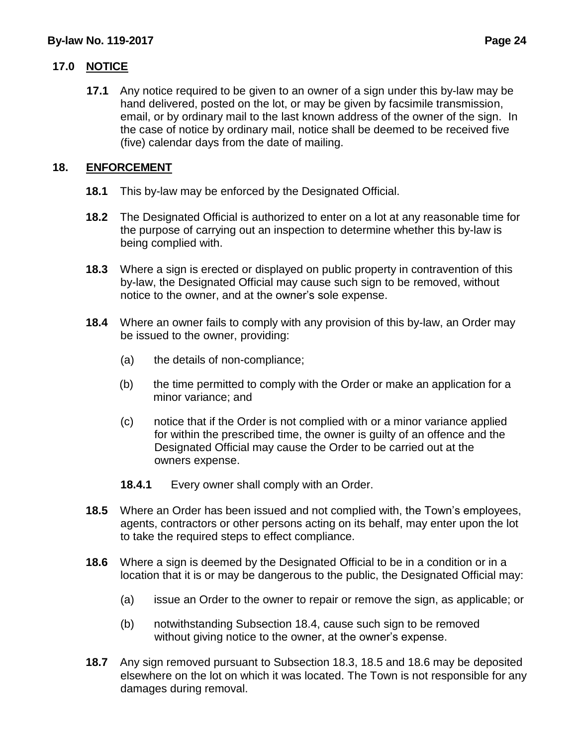# **17.0 NOTICE**

**17.1** Any notice required to be given to an owner of a sign under this by-law may be hand delivered, posted on the lot, or may be given by facsimile transmission, email, or by ordinary mail to the last known address of the owner of the sign. In the case of notice by ordinary mail, notice shall be deemed to be received five (five) calendar days from the date of mailing.

# **18. ENFORCEMENT**

- **18.1** This by-law may be enforced by the Designated Official.
- **18.2** The Designated Official is authorized to enter on a lot at any reasonable time for the purpose of carrying out an inspection to determine whether this by-law is being complied with.
- **18.3** Where a sign is erected or displayed on public property in contravention of this by-law, the Designated Official may cause such sign to be removed, without notice to the owner, and at the owner's sole expense.
- **18.4** Where an owner fails to comply with any provision of this by-law, an Order may be issued to the owner, providing:
	- (a) the details of non-compliance;
	- (b) the time permitted to comply with the Order or make an application for a minor variance; and
	- (c) notice that if the Order is not complied with or a minor variance applied for within the prescribed time, the owner is guilty of an offence and the Designated Official may cause the Order to be carried out at the owners expense.
	- **18.4.1** Every owner shall comply with an Order.
- **18.5** Where an Order has been issued and not complied with, the Town's employees, agents, contractors or other persons acting on its behalf, may enter upon the lot to take the required steps to effect compliance.
- **18.6** Where a sign is deemed by the Designated Official to be in a condition or in a location that it is or may be dangerous to the public, the Designated Official may:
	- (a) issue an Order to the owner to repair or remove the sign, as applicable; or
	- (b) notwithstanding Subsection 18.4, cause such sign to be removed without giving notice to the owner, at the owner's expense.
- **18.7** Any sign removed pursuant to Subsection 18.3, 18.5 and 18.6 may be deposited elsewhere on the lot on which it was located. The Town is not responsible for any damages during removal.